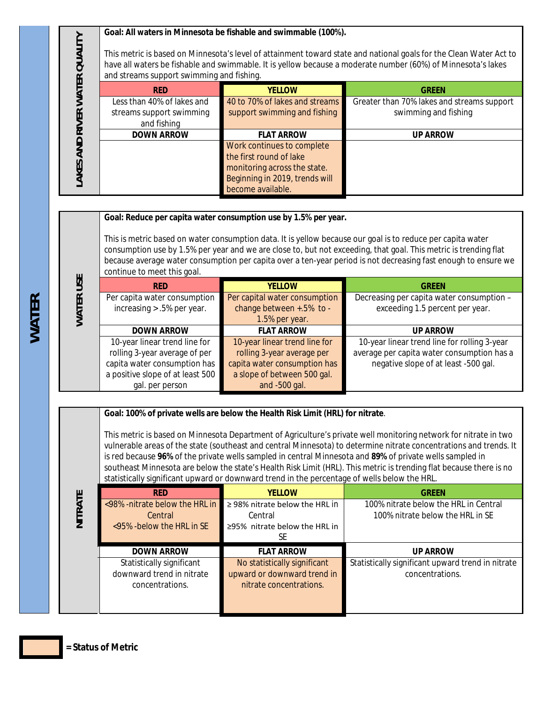**Goal: All waters in Minnesota be fishable and swimmable (100%).**

|                |                                                                                                                                                                                                                                                                                 | <u>Guar. All waters in ivilidies that is named its swimmable (10070).</u>                                                                    |                                                                    |
|----------------|---------------------------------------------------------------------------------------------------------------------------------------------------------------------------------------------------------------------------------------------------------------------------------|----------------------------------------------------------------------------------------------------------------------------------------------|--------------------------------------------------------------------|
| <b>QUALITY</b> | This metric is based on Minnesota's level of attainment toward state and national goals for the Clean Water Act to<br>have all waters be fishable and swimmable. It is yellow because a moderate number (60%) of Minnesota's lakes<br>and streams support swimming and fishing. |                                                                                                                                              |                                                                    |
| <b>WATER</b>   | <b>RFD</b>                                                                                                                                                                                                                                                                      | <b>YELLOW</b>                                                                                                                                | <b>GREEN</b>                                                       |
| <b>RIVER</b>   | Less than 40% of lakes and<br>streams support swimming<br>and fishing                                                                                                                                                                                                           | 40 to 70% of lakes and streams<br>support swimming and fishing                                                                               | Greater than 70% lakes and streams support<br>swimming and fishing |
|                | <b>DOWN ARROW</b>                                                                                                                                                                                                                                                               | <b>FLAT ARROW</b>                                                                                                                            | <b>UP ARROW</b>                                                    |
| AND<br>LAKES   |                                                                                                                                                                                                                                                                                 | Work continues to complete<br>the first round of lake<br>monitoring across the state.<br>Beginning in 2019, trends will<br>become available. |                                                                    |

## **Goal: Reduce per capita water consumption use by 1.5% per year.**

This is metric based on water consumption data. It is yellow because our goal is to reduce per capita water consumption use by 1.5% per year and we are close to, but not exceeding, that goal. This metric is trending flat because average water consumption per capita over a ten-year period is not decreasing fast enough to ensure we continue to meet this goal.

| USE          | <b>RED</b>                                                                                                                                            | <b>YELLOW</b>                                                                                                                               | <b>GREEN</b>                                                                                                                       |
|--------------|-------------------------------------------------------------------------------------------------------------------------------------------------------|---------------------------------------------------------------------------------------------------------------------------------------------|------------------------------------------------------------------------------------------------------------------------------------|
| <b>WATER</b> | Per capita water consumption<br>increasing $> .5\%$ per year.                                                                                         | Per capital water consumption<br>change between +.5% to -<br>1.5% per year.                                                                 | Decreasing per capita water consumption -<br>exceeding 1.5 percent per year.                                                       |
|              | <b>DOWN ARROW</b>                                                                                                                                     | <b>FLAT ARROW</b>                                                                                                                           | <b>UP ARROW</b>                                                                                                                    |
|              | 10-year linear trend line for<br>rolling 3-year average of per<br>capita water consumption has<br>a positive slope of at least 500<br>gal. per person | 10-year linear trend line for<br>rolling 3-year average per<br>capita water consumption has<br>a slope of between 500 gal.<br>and -500 gal. | 10-year linear trend line for rolling 3-year<br>average per capita water consumption has a<br>negative slope of at least -500 gal. |

## **Goal: 100% of private wells are below the Health Risk Limit (HRL) for nitrate**.

This metric is based on Minnesota Department of Agriculture's private well monitoring network for nitrate in two vulnerable areas of the state (southeast and central Minnesota) to determine nitrate concentrations and trends. It is red because **96%** of the private wells sampled in central Minnesota and **89%** of private wells sampled in southeast Minnesota are below the state's Health Risk Limit (HRL). This metric is trending flat because there is no statistically significant upward or downward trend in the percentage of wells below the HRL.

|         | <b>RED</b>                       | <b>YELLOW</b>                       | <b>GRFFN</b>                                      |
|---------|----------------------------------|-------------------------------------|---------------------------------------------------|
| NITRATE | <98% -nitrate below the HRL in   | $\geq$ 98% nitrate below the HRL in | 100% nitrate below the HRL in Central             |
|         | Central                          | Central                             | 100% nitrate below the HRL in SE                  |
|         | $\leq$ 95% - below the HRL in SE | $\geq$ 95% nitrate below the HRL in |                                                   |
|         |                                  | SE                                  |                                                   |
|         | <b>DOWN ARROW</b>                | <b>FLAT ARROW</b>                   | <b>UP ARROW</b>                                   |
|         | Statistically significant        | No statistically significant        | Statistically significant upward trend in nitrate |
|         | downward trend in nitrate        | upward or downward trend in         | concentrations.                                   |
|         | concentrations.                  | nitrate concentrations.             |                                                   |
|         |                                  |                                     |                                                   |
|         |                                  |                                     |                                                   |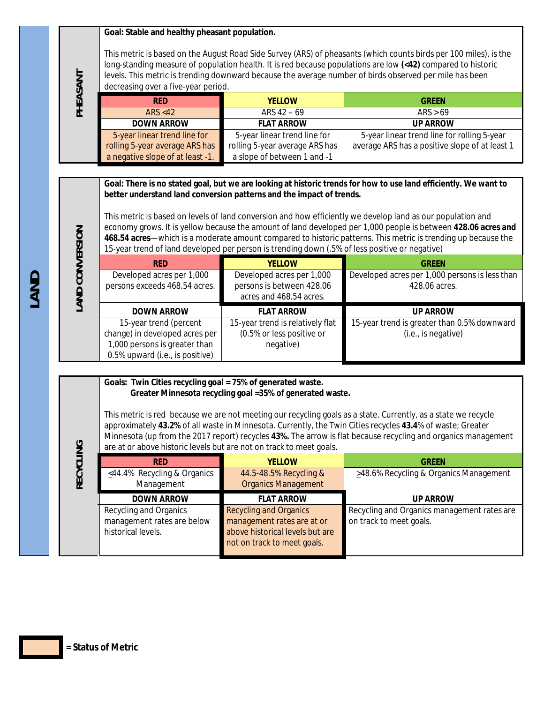|                 | Goal: Stable and healthy pheasant population.                                                                                      |                                                                                                                                                                        |                                                                                                                                                                                                                                                                                                                                                                                                                                                                   |
|-----------------|------------------------------------------------------------------------------------------------------------------------------------|------------------------------------------------------------------------------------------------------------------------------------------------------------------------|-------------------------------------------------------------------------------------------------------------------------------------------------------------------------------------------------------------------------------------------------------------------------------------------------------------------------------------------------------------------------------------------------------------------------------------------------------------------|
| PHEASANT        | decreasing over a five-year period.                                                                                                |                                                                                                                                                                        | This metric is based on the August Road Side Survey (ARS) of pheasants (which counts birds per 100 miles), is the<br>long-standing measure of population health. It is red because populations are low (<42) compared to historic<br>levels. This metric is trending downward because the average number of birds observed per mile has been                                                                                                                      |
|                 | <b>RED</b>                                                                                                                         | <b>YELLOW</b>                                                                                                                                                          | <b>GREEN</b>                                                                                                                                                                                                                                                                                                                                                                                                                                                      |
|                 | <b>ARS &lt;42</b>                                                                                                                  | ARS 42 - 69                                                                                                                                                            | ARS > 69                                                                                                                                                                                                                                                                                                                                                                                                                                                          |
|                 | <b>DOWN ARROW</b>                                                                                                                  | <b>FLAT ARROW</b>                                                                                                                                                      | <b>UP ARROW</b>                                                                                                                                                                                                                                                                                                                                                                                                                                                   |
|                 | 5-year linear trend line for                                                                                                       | 5-year linear trend line for                                                                                                                                           | 5-year linear trend line for rolling 5-year                                                                                                                                                                                                                                                                                                                                                                                                                       |
|                 | rolling 5-year average ARS has                                                                                                     | rolling 5-year average ARS has                                                                                                                                         | average ARS has a positive slope of at least 1                                                                                                                                                                                                                                                                                                                                                                                                                    |
|                 | a negative slope of at least -1.                                                                                                   | a slope of between 1 and -1                                                                                                                                            |                                                                                                                                                                                                                                                                                                                                                                                                                                                                   |
|                 |                                                                                                                                    |                                                                                                                                                                        |                                                                                                                                                                                                                                                                                                                                                                                                                                                                   |
| LAND CONVERSION |                                                                                                                                    | better understand land conversion patterns and the impact of trends.<br>15-year trend of land developed per person is trending down (.5% of less positive or negative) | Goal: There is no stated goal, but we are looking at historic trends for how to use land efficiently. We want to<br>This metric is based on levels of land conversion and how efficiently we develop land as our population and<br>economy grows. It is yellow because the amount of land developed per 1,000 people is between 428.06 acres and<br>468.54 acres—which is a moderate amount compared to historic patterns. This metric is trending up because the |
|                 |                                                                                                                                    | <b>YELLOW</b>                                                                                                                                                          |                                                                                                                                                                                                                                                                                                                                                                                                                                                                   |
|                 | <b>RED</b><br>Developed acres per 1,000                                                                                            | Developed acres per 1,000                                                                                                                                              | <b>GREEN</b><br>Developed acres per 1,000 persons is less than                                                                                                                                                                                                                                                                                                                                                                                                    |
|                 | persons exceeds 468.54 acres.                                                                                                      | persons is between 428.06                                                                                                                                              | 428.06 acres.                                                                                                                                                                                                                                                                                                                                                                                                                                                     |
|                 |                                                                                                                                    | acres and 468.54 acres.                                                                                                                                                |                                                                                                                                                                                                                                                                                                                                                                                                                                                                   |
|                 |                                                                                                                                    |                                                                                                                                                                        |                                                                                                                                                                                                                                                                                                                                                                                                                                                                   |
|                 | <b>DOWN ARROW</b><br>15-year trend (percent                                                                                        | <b>FLAT ARROW</b><br>15-year trend is relatively flat                                                                                                                  | <b>UP ARROW</b><br>15-year trend is greater than 0.5% downward                                                                                                                                                                                                                                                                                                                                                                                                    |
|                 | change) in developed acres per                                                                                                     | (0.5% or less positive or                                                                                                                                              | (i.e., is negative)                                                                                                                                                                                                                                                                                                                                                                                                                                               |
|                 | 1,000 persons is greater than                                                                                                      | negative)                                                                                                                                                              |                                                                                                                                                                                                                                                                                                                                                                                                                                                                   |
|                 | 0.5% upward (i.e., is positive)                                                                                                    |                                                                                                                                                                        |                                                                                                                                                                                                                                                                                                                                                                                                                                                                   |
|                 |                                                                                                                                    |                                                                                                                                                                        |                                                                                                                                                                                                                                                                                                                                                                                                                                                                   |
| RECYCLING       | Goals: Twin Cities recycling goal = 75% of generated waste.<br>are at or above historic levels but are not on track to meet goals. | Greater Minnesota recycling goal =35% of generated waste.                                                                                                              | This metric is red because we are not meeting our recycling goals as a state. Currently, as a state we recycle<br>approximately 43.2% of all waste in Minnesota. Currently, the Twin Cities recycles 43.4% of waste; Greater<br>Minnesota (up from the 2017 report) recycles 43%. The arrow is flat because recycling and organics management                                                                                                                     |
|                 | <b>RED</b>                                                                                                                         | <b>YELLOW</b>                                                                                                                                                          | <b>GREEN</b>                                                                                                                                                                                                                                                                                                                                                                                                                                                      |
|                 | <44.4% Recycling & Organics                                                                                                        | 44.5-48.5% Recycling &                                                                                                                                                 | >48.6% Recycling & Organics Management                                                                                                                                                                                                                                                                                                                                                                                                                            |
|                 | Management                                                                                                                         | <b>Organics Management</b>                                                                                                                                             |                                                                                                                                                                                                                                                                                                                                                                                                                                                                   |
|                 | <b>DOWN ARROW</b>                                                                                                                  | <b>FLAT ARROW</b>                                                                                                                                                      | <b>UP ARROW</b>                                                                                                                                                                                                                                                                                                                                                                                                                                                   |
|                 | Recycling and Organics                                                                                                             | <b>Recycling and Organics</b>                                                                                                                                          | Recycling and Organics management rates are                                                                                                                                                                                                                                                                                                                                                                                                                       |
|                 | management rates are below                                                                                                         | management rates are at or                                                                                                                                             | on track to meet goals.                                                                                                                                                                                                                                                                                                                                                                                                                                           |
|                 | historical levels.                                                                                                                 | above historical levels but are                                                                                                                                        |                                                                                                                                                                                                                                                                                                                                                                                                                                                                   |
|                 |                                                                                                                                    | not on track to meet goals.                                                                                                                                            |                                                                                                                                                                                                                                                                                                                                                                                                                                                                   |
|                 |                                                                                                                                    |                                                                                                                                                                        |                                                                                                                                                                                                                                                                                                                                                                                                                                                                   |

**= Status of Metric**

**LAND**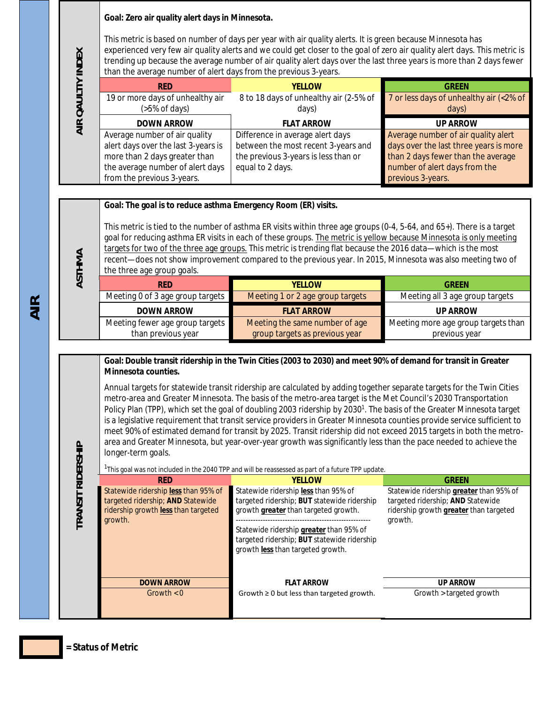#### **Goal: Zero air quality alert days in Minnesota.**

This metric is based on number of days per year with air quality alerts. It is green because Minnesota has experienced very few air quality alerts and we could get closer to the goal of zero air quality alert days. This metric is trending up because the average number of air quality alert days over the last three years is more than 2 days fewer than the average number of alert days from the previous 3-years.

| <b>RED</b>                          | <b>YFLLOW</b>                          | <b>GRFFN</b>                            |
|-------------------------------------|----------------------------------------|-----------------------------------------|
| 19 or more days of unhealthy air    | 8 to 18 days of unhealthy air (2-5% of | 7 or less days of unhealthy air (<2% of |
| (5% of days)                        | days)                                  | days)                                   |
| <b>DOWN ARROW</b>                   | <b>FLAT ARROW</b>                      | <b>UP ARROW</b>                         |
| Average number of air quality       | Difference in average alert days       | Average number of air quality alert     |
| alert days over the last 3-years is | between the most recent 3-years and    | days over the last three years is more  |
| more than 2 days greater than       | the previous 3-years is less than or   | than 2 days fewer than the average      |
| the average number of alert days    | equal to 2 days.                       | number of alert days from the           |
| from the previous 3-years.          |                                        | previous 3-years.                       |

**Goal: The goal is to reduce asthma Emergency Room (ER) visits.** 

This metric is tied to the number of asthma ER visits within three age groups (0-4, 5-64, and 65+). There is a target goal for reducing asthma ER visits in each of these groups. The metric is yellow because Minnesota is only meeting targets for two of the three age groups. This metric is trending flat because the 2016 data—which is the most recent—does not show improvement compared to the previous year. In 2015, Minnesota was also meeting two of the three age group goals.

| <b>RFD</b>                       | <b>YFLLOW</b>                    | <b>GRFFN</b>                        |
|----------------------------------|----------------------------------|-------------------------------------|
| Meeting 0 of 3 age group targets | Meeting 1 or 2 age group targets | Meeting all 3 age group targets     |
| <b>DOWN ARROW</b>                | <b>FLAT ARROW</b>                | <b>UP ARROW</b>                     |
| Meeting fewer age group targets  | Meeting the same number of age   | Meeting more age group targets than |
| than previous year               | group targets as previous year   | previous year                       |

## **Goal: Double transit ridership in the Twin Cities (2003 to 2030) and meet 90% of demand for transit in Greater Minnesota counties.**

Annual targets for statewide transit ridership are calculated by adding together separate targets for the Twin Cities metro-area and Greater Minnesota. The basis of the metro-area target is the Met Council's 2030 Transportation Policy Plan (TPP), which set the goal of doubling 2003 ridership by 2030<sup>1</sup>. The basis of the Greater Minnesota target is a legislative requirement that transit service providers in Greater Minnesota counties provide service sufficient to meet 90% of estimated demand for transit by 2025. Transit ridership did not exceed 2015 targets in both the metroarea and Greater Minnesota, but year-over-year growth was significantly less than the pace needed to achieve the longer-term goals.

|                                                                                                                             | <sup>1</sup> This goal was not included in the 2040 TPP and will be reassessed as part of a future TPP update.                                                                                                                                                           |                                                                                                                                          |
|-----------------------------------------------------------------------------------------------------------------------------|--------------------------------------------------------------------------------------------------------------------------------------------------------------------------------------------------------------------------------------------------------------------------|------------------------------------------------------------------------------------------------------------------------------------------|
| <b>RED</b>                                                                                                                  | <b>YFLLOW</b>                                                                                                                                                                                                                                                            | <b>GREEN</b>                                                                                                                             |
| Statewide ridership less than 95% of<br>targeted ridership; AND Statewide<br>ridership growth less than targeted<br>growth. | Statewide ridership less than 95% of<br>targeted ridership; BUT statewide ridership<br>growth <i>greater</i> than targeted growth.<br>Statewide ridership greater than 95% of<br>targeted ridership; BUT statewide ridership<br>growth <i>less</i> than targeted growth. | Statewide ridership greater than 95% of<br>targeted ridership; AND Statewide<br>ridership growth <i>greater</i> than targeted<br>growth. |
| <b>DOWN ARROW</b>                                                                                                           | <b>FLAT ARROW</b>                                                                                                                                                                                                                                                        | <b>UP ARROW</b>                                                                                                                          |
| Growth $< 0$                                                                                                                | Growth $\geq 0$ but less than targeted growth.                                                                                                                                                                                                                           | Growth > targeted growth                                                                                                                 |

**AIR**

**AIR QAULTIY INDEX**

AIR QAULTIY INDEX

**ASTHMA**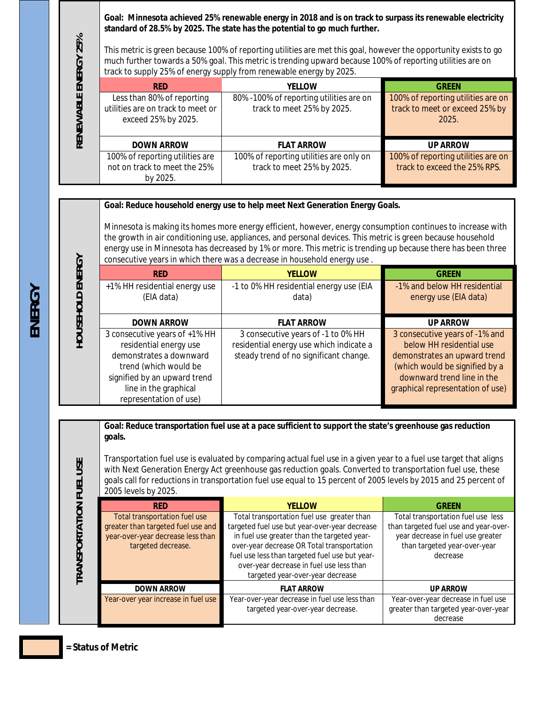**Goal: Minnesota achieved 25% renewable energy in 2018 and is on track to surpass its renewable electricity standard of 28.5% by 2025. The state has the potential to go much further.**

This metric is green because 100% of reporting utilities are met this goal, however the opportunity exists to go much further towards a 50% goal. This metric is trending upward because 100% of reporting utilities are on track to supply 25% of energy supply from renewable energy by 2025.

| <b>RED</b>                        | <b>YELLOW</b>                           | <b>GREEN</b>                       |
|-----------------------------------|-----------------------------------------|------------------------------------|
| Less than 80% of reporting        | 80% -100% of reporting utilities are on | 100% of reporting utilities are on |
| utilities are on track to meet or | track to meet 25% by 2025.              | track to meet or exceed 25% by     |
| exceed 25% by 2025.               |                                         | 2025.                              |
|                                   |                                         |                                    |
| <b>DOWN ARROW</b>                 | <b>FLAT ARROW</b>                       | <b>UP ARROW</b>                    |
| 100% of reporting utilities are   | 100% of reporting utilities are only on | 100% of reporting utilities are on |
| not on track to meet the 25%      | track to meet 25% by 2025.              | track to exceed the 25% RPS.       |
| by 2025.                          |                                         |                                    |

#### **Goal: Reduce household energy use to help meet Next Generation Energy Goals.**

Minnesota is making its homes more energy efficient, however, energy consumption continues to increase with the growth in air conditioning use, appliances, and personal devices. This metric is green because household energy use in Minnesota has decreased by 1% or more. This metric is trending up because there has been three consecutive years in which there was a decrease in household energy use .

| <b>RED</b>                                                                                                                                                                                     | <b>YELLOW</b>                                                                                                           | <b>GRFFN</b>                                                                                                                                                                                   |
|------------------------------------------------------------------------------------------------------------------------------------------------------------------------------------------------|-------------------------------------------------------------------------------------------------------------------------|------------------------------------------------------------------------------------------------------------------------------------------------------------------------------------------------|
| +1% HH residential energy use<br>(EIA data)                                                                                                                                                    | -1 to 0% HH residential energy use (EIA<br>data)                                                                        | -1% and below HH residential<br>energy use (EIA data)                                                                                                                                          |
| <b>DOWN ARROW</b>                                                                                                                                                                              | <b>FLAT ARROW</b>                                                                                                       | <b>UP ARROW</b>                                                                                                                                                                                |
| 3 consecutive years of +1% HH<br>residential energy use<br>demonstrates a downward<br>trend (which would be<br>signified by an upward trend<br>line in the graphical<br>representation of use) | 3 consecutive years of -1 to 0% HH<br>residential energy use which indicate a<br>steady trend of no significant change. | 3 consecutive years of -1% and<br>below HH residential use<br>demonstrates an upward trend<br>(which would be signified by a<br>downward trend line in the<br>graphical representation of use) |

**Goal: Reduce transportation fuel use at a pace sufficient to support the state's greenhouse gas reduction goals.**

Transportation fuel use is evaluated by comparing actual fuel use in a given year to a fuel use target that aligns with Next Generation Energy Act greenhouse gas reduction goals. Converted to transportation fuel use, these goals call for reductions in transportation fuel use equal to 15 percent of 2005 levels by 2015 and 25 percent of 2005 levels by 2025.

| <b>RED</b>                                                          | <b>YELLOW</b>                                                                                                                                                                                                               | <b>GRFFN</b>                                                                  |
|---------------------------------------------------------------------|-----------------------------------------------------------------------------------------------------------------------------------------------------------------------------------------------------------------------------|-------------------------------------------------------------------------------|
| Total transportation fuel use<br>greater than targeted fuel use and | Total transportation fuel use greater than<br>targeted fuel use but year-over-year decrease                                                                                                                                 | Total transportation fuel use less<br>than targeted fuel use and year-over-   |
| year-over-year decrease less than<br>targeted decrease.             | in fuel use greater than the targeted year-<br>over-year decrease OR Total transportation<br>fuel use less than targeted fuel use but year-<br>over-year decrease in fuel use less than<br>targeted year-over-year decrease | year decrease in fuel use greater<br>than targeted year-over-year<br>decrease |
| <b>DOWN ARROW</b>                                                   | <b>FLAT ARROW</b>                                                                                                                                                                                                           | <b>UP ARROW</b>                                                               |
| Year-over year increase in fuel use                                 | Year-over-year decrease in fuel use less than                                                                                                                                                                               | Year-over-year decrease in fuel use                                           |
|                                                                     | targeted year-over-year decrease.                                                                                                                                                                                           | greater than targeted year-over-year                                          |
|                                                                     |                                                                                                                                                                                                                             | decrease                                                                      |

**TRANSPORTATION FUEL USE**

**TRANSPORTATION FUEL USE** 

# **ENERGY**

**RENEWABLE ENERGY 25%**

RENEWABLE ENERGY 25%

**HOUSEHOLD ENERGY** 

HOUSEHOLD ENERGY

**= Status of Metric**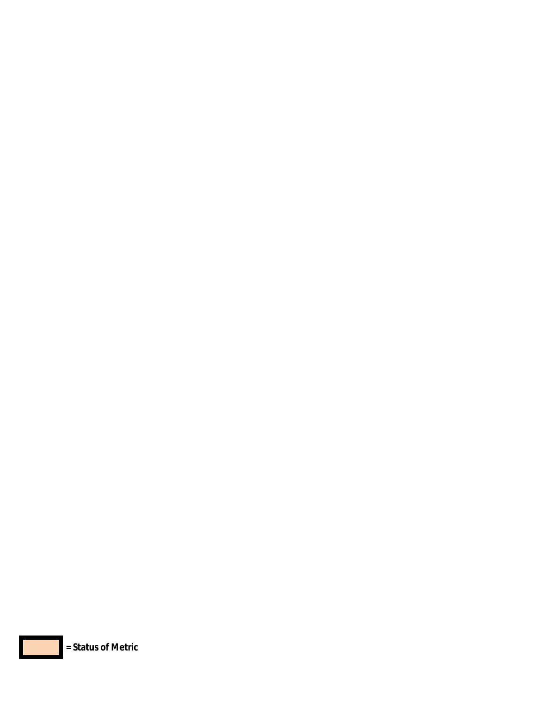

I